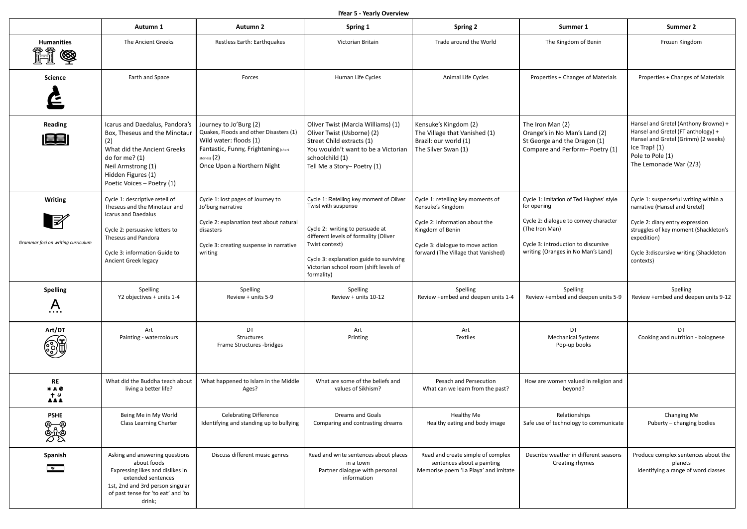**lYear 5 - Yearly Overview**

|                                                                      | Autumn 1                                                                                                                                                                                                | <b>Autumn 2</b>                                                                                                                                                                    | Spring 1                                                                                                                                                                                                                                                        | <b>Spring 2</b>                                                                                                                                                                         | Summer 1                                                                                                                                                                                       | <b>Summer 2</b>                                                                                                                                                                                                          |
|----------------------------------------------------------------------|---------------------------------------------------------------------------------------------------------------------------------------------------------------------------------------------------------|------------------------------------------------------------------------------------------------------------------------------------------------------------------------------------|-----------------------------------------------------------------------------------------------------------------------------------------------------------------------------------------------------------------------------------------------------------------|-----------------------------------------------------------------------------------------------------------------------------------------------------------------------------------------|------------------------------------------------------------------------------------------------------------------------------------------------------------------------------------------------|--------------------------------------------------------------------------------------------------------------------------------------------------------------------------------------------------------------------------|
| <b>Humanities</b><br><u> (R</u><br>▧                                 | The Ancient Greeks                                                                                                                                                                                      | Restless Earth: Earthquakes                                                                                                                                                        | Victorian Britain                                                                                                                                                                                                                                               | Trade around the World                                                                                                                                                                  | The Kingdom of Benin                                                                                                                                                                           | Frozen Kingdom                                                                                                                                                                                                           |
| <b>Science</b>                                                       | Earth and Space                                                                                                                                                                                         | Forces                                                                                                                                                                             | Human Life Cycles                                                                                                                                                                                                                                               | Animal Life Cycles                                                                                                                                                                      | Properties + Changes of Materials                                                                                                                                                              | Properties + Changes of Materials                                                                                                                                                                                        |
| <b>Reading</b><br>EE                                                 | Icarus and Daedalus, Pandora's<br>Box, Theseus and the Minotaur<br>(2)<br>What did the Ancient Greeks<br>do for me? $(1)$<br>Neil Armstrong (1)<br>Hidden Figures (1)<br>Poetic Voices - Poetry (1)     | Journey to Jo'Burg (2)<br>Quakes, Floods and other Disasters (1)<br>Wild water: floods (1)<br>Fantastic, Funny, Frightening (short<br>stories) $(2)$<br>Once Upon a Northern Night | Oliver Twist (Marcia Williams) (1)<br>Oliver Twist (Usborne) (2)<br>Street Child extracts (1)<br>You wouldn't want to be a Victorian<br>schoolchild (1)<br>Tell Me a Story-Poetry (1)                                                                           | Kensuke's Kingdom (2)<br>The Village that Vanished (1)<br>Brazil: our world (1)<br>The Silver Swan (1)                                                                                  | The Iron Man (2)<br>Orange's in No Man's Land (2)<br>St George and the Dragon (1)<br>Compare and Perform-Poetry (1)                                                                            | Hansel and Gretel (Anthony Browne) +<br>Hansel and Gretel (FT anthology) +<br>Hansel and Gretel (Grimm) (2 weeks)<br>Ice Trap! (1)<br>Pole to Pole (1)<br>The Lemonade War (2/3)                                         |
| <b>Writing</b><br>$\mathbb{F}$<br>Grammar foci on writing curriculum | Cycle 1: descriptive retell of<br>Theseus and the Minotaur and<br>Icarus and Daedalus<br>Cycle 2: persuasive letters to<br>Theseus and Pandora<br>Cycle 3: information Guide to<br>Ancient Greek legacy | Cycle 1: lost pages of Journey to<br>Jo'burg narrative<br>Cycle 2: explanation text about natural<br>disasters<br>Cycle 3: creating suspense in narrative<br>writing               | Cycle 1: Retelling key moment of Oliver<br>Twist with suspense<br>Cycle 2: writing to persuade at<br>different levels of formality (Oliver<br>Twist context)<br>Cycle 3: explanation guide to surviving<br>Victorian school room (shift levels of<br>formality) | Cycle 1: retelling key moments of<br>Kensuke's Kingdom<br>Cycle 2: information about the<br>Kingdom of Benin<br>Cycle 3: dialogue to move action<br>forward (The Village that Vanished) | Cycle 1: Imitation of Ted Hughes' style<br>for opening<br>Cycle 2: dialogue to convey character<br>(The Iron Man)<br>Cycle 3: introduction to discursive<br>writing (Oranges in No Man's Land) | Cycle 1: suspenseful writing within a<br>narrative (Hansel and Gretel)<br>Cycle 2: diary entry expression<br>struggles of key moment (Shackleton's<br>expedition)<br>Cycle 3:discursive writing (Shackleton<br>contexts) |
| <b>Spelling</b><br>$\overline{A}$                                    | Spelling<br>Y2 objectives + units 1-4                                                                                                                                                                   | Spelling<br>Review + units 5-9                                                                                                                                                     | Spelling<br>Review + units 10-12                                                                                                                                                                                                                                | Spelling<br>Review +embed and deepen units 1-4                                                                                                                                          | Spelling<br>Review +embed and deepen units 5-9                                                                                                                                                 | Spelling<br>Review +embed and deepen units 9-12                                                                                                                                                                          |
| Art/DT<br>31                                                         | Art<br>Painting - watercolours                                                                                                                                                                          | DT<br>Structures<br>Frame Structures -bridges                                                                                                                                      | Art<br>Printing                                                                                                                                                                                                                                                 | Art<br><b>Textiles</b>                                                                                                                                                                  | DT.<br><b>Mechanical Systems</b><br>Pop-up books                                                                                                                                               | DT.<br>Cooking and nutrition - bolognese                                                                                                                                                                                 |
| RE<br>∗⊥●<br>ᅹ                                                       | What did the Buddha teach about<br>living a better life?                                                                                                                                                | What happened to Islam in the Middle<br>Ages?                                                                                                                                      | What are some of the beliefs and<br>values of Sikhism?                                                                                                                                                                                                          | Pesach and Persecution<br>What can we learn from the past?                                                                                                                              | How are women valued in religion and<br>beyond?                                                                                                                                                |                                                                                                                                                                                                                          |
| <b>PSHE</b><br>စ–စ<br>စွဲဖို့စွဲ                                     | Being Me in My World<br><b>Class Learning Charter</b>                                                                                                                                                   | <b>Celebrating Difference</b><br>Identifying and standing up to bullying                                                                                                           | Dreams and Goals<br>Comparing and contrasting dreams                                                                                                                                                                                                            | Healthy Me<br>Healthy eating and body image                                                                                                                                             | Relationships<br>Safe use of technology to communicate                                                                                                                                         | Changing Me<br>Puberty - changing bodies                                                                                                                                                                                 |
| Spanish<br>$\bullet$                                                 | Asking and answering questions<br>about foods<br>Expressing likes and dislikes in<br>extended sentences<br>1st, 2nd and 3rd person singular<br>of past tense for 'to eat' and 'to<br>drink;             | Discuss different music genres                                                                                                                                                     | Read and write sentences about places<br>in a town<br>Partner dialogue with personal<br>information                                                                                                                                                             | Read and create simple of complex<br>sentences about a painting<br>Memorise poem 'La Playa' and imitate                                                                                 | Describe weather in different seasons<br>Creating rhymes                                                                                                                                       | Produce complex sentences about the<br>planets<br>Identifying a range of word classes                                                                                                                                    |